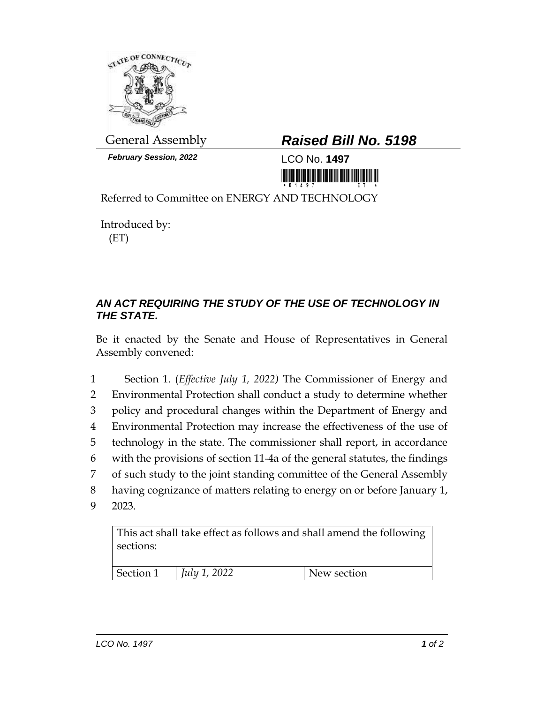

*February Session, 2022* LCO No. **1497**

## General Assembly *Raised Bill No. 5198*

<u>Tin in in in it is an an an an an ini ini na in</u>

Referred to Committee on ENERGY AND TECHNOLOGY

Introduced by: (ET)

## *AN ACT REQUIRING THE STUDY OF THE USE OF TECHNOLOGY IN THE STATE.*

Be it enacted by the Senate and House of Representatives in General Assembly convened:

 Section 1. (*Effective July 1, 2022)* The Commissioner of Energy and Environmental Protection shall conduct a study to determine whether policy and procedural changes within the Department of Energy and Environmental Protection may increase the effectiveness of the use of technology in the state. The commissioner shall report, in accordance with the provisions of section 11-4a of the general statutes, the findings of such study to the joint standing committee of the General Assembly having cognizance of matters relating to energy on or before January 1, 9 2023.

This act shall take effect as follows and shall amend the following sections:

| Section 1 | 2022<br>$ $ <i>Iulu</i> <sup>1</sup><br>$-0-4$ | w section |
|-----------|------------------------------------------------|-----------|
|           |                                                |           |